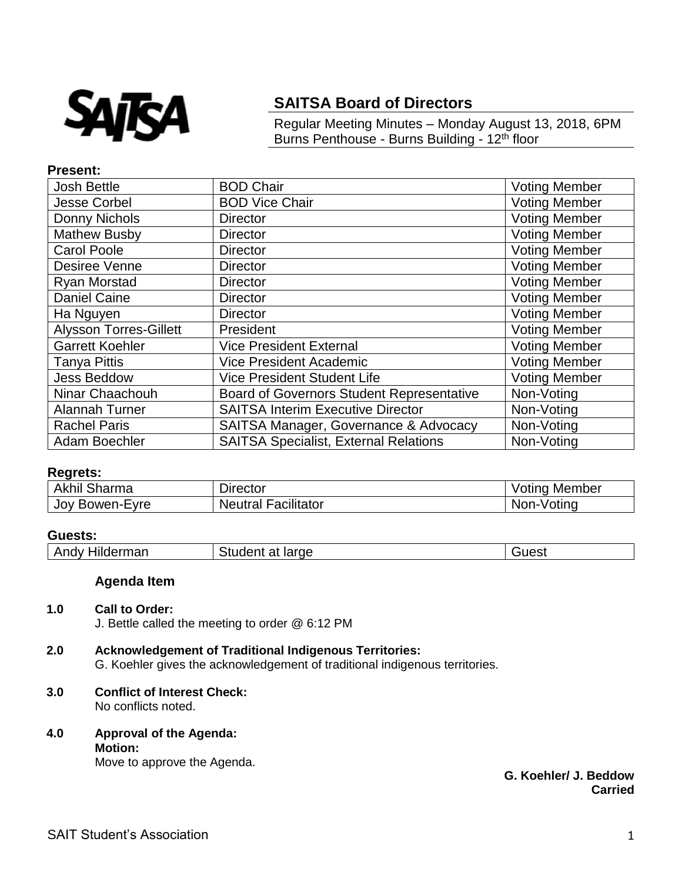

# **SAITSA Board of Directors**

Regular Meeting Minutes – Monday August 13, 2018, 6PM Burns Penthouse - Burns Building - 12<sup>th</sup> floor

## **Present:**

| <b>Josh Bettle</b>            | <b>BOD Chair</b>                                 | <b>Voting Member</b> |
|-------------------------------|--------------------------------------------------|----------------------|
| <b>Jesse Corbel</b>           | <b>BOD Vice Chair</b>                            | <b>Voting Member</b> |
| Donny Nichols                 | <b>Director</b>                                  | <b>Voting Member</b> |
| <b>Mathew Busby</b>           | <b>Director</b>                                  | <b>Voting Member</b> |
| <b>Carol Poole</b>            | <b>Director</b>                                  | <b>Voting Member</b> |
| Desiree Venne                 | <b>Director</b>                                  | <b>Voting Member</b> |
| <b>Ryan Morstad</b>           | <b>Director</b>                                  | <b>Voting Member</b> |
| <b>Daniel Caine</b>           | <b>Director</b>                                  | <b>Voting Member</b> |
| Ha Nguyen                     | <b>Director</b>                                  | <b>Voting Member</b> |
| <b>Alysson Torres-Gillett</b> | President                                        | <b>Voting Member</b> |
| <b>Garrett Koehler</b>        | <b>Vice President External</b>                   | <b>Voting Member</b> |
| <b>Tanya Pittis</b>           | <b>Vice President Academic</b>                   | <b>Voting Member</b> |
| <b>Jess Beddow</b>            | <b>Vice President Student Life</b>               | <b>Voting Member</b> |
| Ninar Chaachouh               | <b>Board of Governors Student Representative</b> | Non-Voting           |
| <b>Alannah Turner</b>         | <b>SAITSA Interim Executive Director</b>         | Non-Voting           |
| <b>Rachel Paris</b>           | SAITSA Manager, Governance & Advocacy            | Non-Voting           |
| Adam Boechler                 | <b>SAITSA Specialist, External Relations</b>     | Non-Voting           |

# **Regrets:**

| Akhil<br>Sharma       | Director                      | Member<br>Votino |
|-----------------------|-------------------------------|------------------|
| JOV '<br>' Bowen-Eyre | Facilitator<br><b>Neutral</b> | Non-Votina       |

### **Guests:**

| Andy Hilderman | Student at large | Guest |
|----------------|------------------|-------|
|----------------|------------------|-------|

# **Agenda Item**

### **1.0 Call to Order:**

J. Bettle called the meeting to order @ 6:12 PM

# **2.0 Acknowledgement of Traditional Indigenous Territories:**

G. Koehler gives the acknowledgement of traditional indigenous territories.

## **3.0 Conflict of Interest Check:** No conflicts noted.

**4.0 Approval of the Agenda: Motion:**

Move to approve the Agenda.

**G. Koehler/ J. Beddow Carried**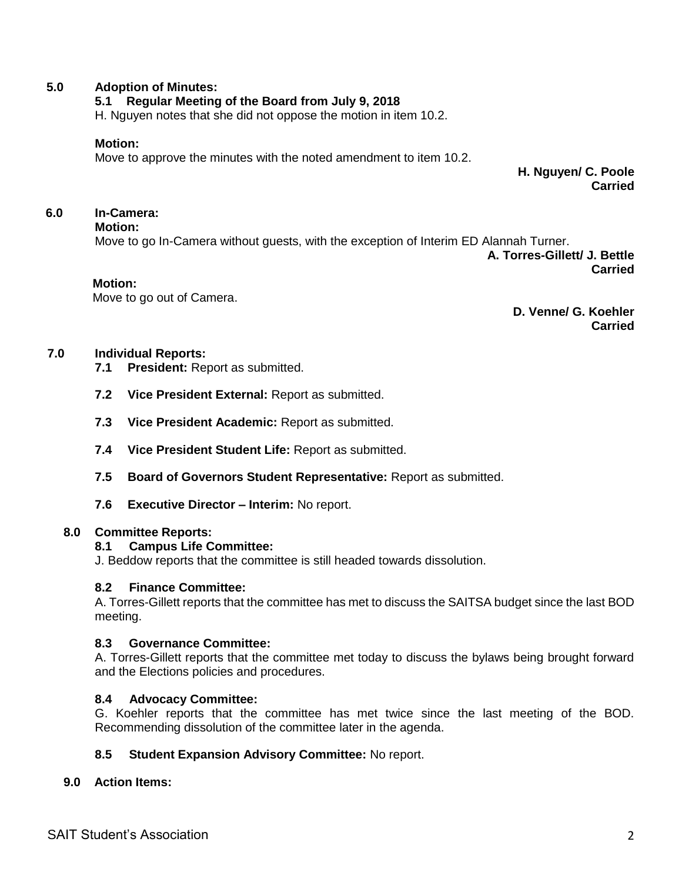# **5.0 Adoption of Minutes:**

# **5.1 Regular Meeting of the Board from July 9, 2018**

H. Nguyen notes that she did not oppose the motion in item 10.2.

### **Motion:**

Move to approve the minutes with the noted amendment to item 10.2.

**H. Nguyen/ C. Poole Carried**

# **6.0 In-Camera:**

**Motion:**

Move to go In-Camera without guests, with the exception of Interim ED Alannah Turner.

**A. Torres-Gillett/ J. Bettle Carried**

#### **Motion:**

Move to go out of Camera.

**D. Venne/ G. Koehler Carried**

# **7.0 Individual Reports:**

- **7.1 President:** Report as submitted.
- **7.2 Vice President External:** Report as submitted.
- **7.3 Vice President Academic:** Report as submitted.
- **7.4 Vice President Student Life:** Report as submitted.
- **7.5 Board of Governors Student Representative:** Report as submitted.
- **7.6 Executive Director – Interim:** No report.

### **8.0 Committee Reports:**

### **8.1 Campus Life Committee:**

J. Beddow reports that the committee is still headed towards dissolution.

## **8.2 Finance Committee:**

A. Torres-Gillett reports that the committee has met to discuss the SAITSA budget since the last BOD meeting.

# **8.3 Governance Committee:**

A. Torres-Gillett reports that the committee met today to discuss the bylaws being brought forward and the Elections policies and procedures.

# **8.4 Advocacy Committee:**

G. Koehler reports that the committee has met twice since the last meeting of the BOD. Recommending dissolution of the committee later in the agenda.

# **8.5 Student Expansion Advisory Committee:** No report.

### **9.0 Action Items:**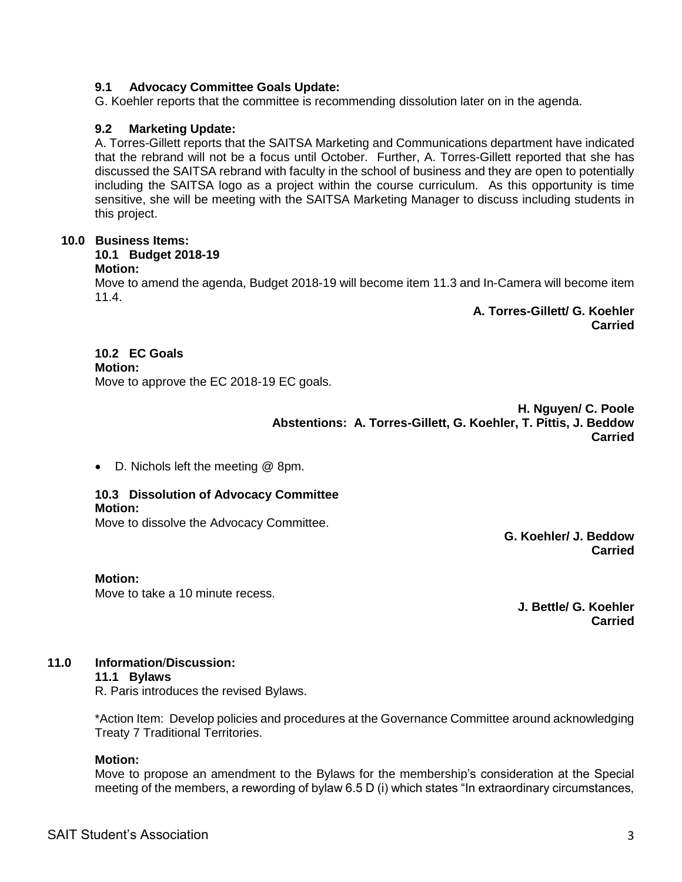# **9.1 Advocacy Committee Goals Update:**

G. Koehler reports that the committee is recommending dissolution later on in the agenda.

# **9.2 Marketing Update:**

A. Torres-Gillett reports that the SAITSA Marketing and Communications department have indicated that the rebrand will not be a focus until October. Further, A. Torres-Gillett reported that she has discussed the SAITSA rebrand with faculty in the school of business and they are open to potentially including the SAITSA logo as a project within the course curriculum. As this opportunity is time sensitive, she will be meeting with the SAITSA Marketing Manager to discuss including students in this project.

# **10.0 Business Items:**

### **10.1 Budget 2018-19**

## **Motion:**

Move to amend the agenda, Budget 2018-19 will become item 11.3 and In-Camera will become item 11.4.

> **A. Torres-Gillett/ G. Koehler Carried**

# **10.2 EC Goals**

**Motion:**

Move to approve the EC 2018-19 EC goals.

**H. Nguyen/ C. Poole Abstentions: A. Torres-Gillett, G. Koehler, T. Pittis, J. Beddow Carried**

D. Nichols left the meeting @ 8pm.

### **10.3 Dissolution of Advocacy Committee Motion:**

Move to dissolve the Advocacy Committee.

**G. Koehler/ J. Beddow Carried**

### **Motion:**

Move to take a 10 minute recess.

**J. Bettle/ G. Koehler Carried**

# **11.0 Information**/**Discussion:**

### **11.1 Bylaws**

R. Paris introduces the revised Bylaws.

\*Action Item: Develop policies and procedures at the Governance Committee around acknowledging Treaty 7 Traditional Territories.

### **Motion:**

Move to propose an amendment to the Bylaws for the membership's consideration at the Special meeting of the members, a rewording of bylaw 6.5 D (i) which states "In extraordinary circumstances,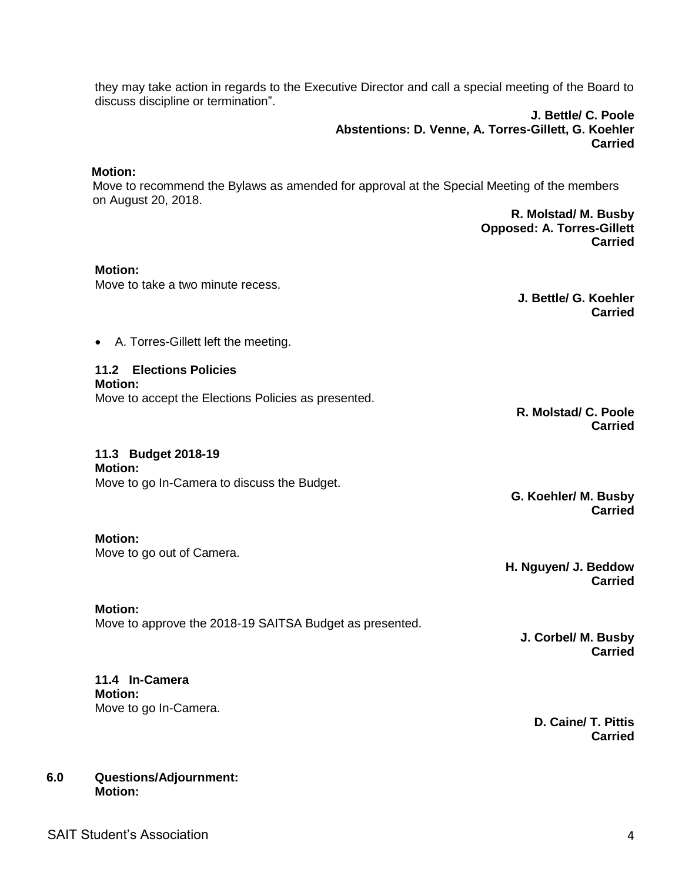**11.2 Elections Policies**

they may take action in regards to the Executive Director and call a special meeting of the Board to

Move to recommend the Bylaws as amended for approval at the Special Meeting of the members

**Motion:**

**Motion:**

**Motion:**

**11.3 Budget 2018-19** 

Move to go out of Camera.

Move to accept the Elections Policies as presented.

**R. Molstad/ C. Poole Carried**

**G. Koehler/ M. Busby Carried**

**H. Nguyen/ J. Beddow Carried**

**J. Corbel/ M. Busby Carried**

# SAIT Student's Association 4 and 2008 12 and 2008 12 and 2008 12 and 2008 12 and 2008 12 and 2008 12 and 2008 12 and 2008 12 and 2008 12 and 2008 12 and 2008 12 and 2008 12 and 2008 12 and 2008 12 and 2008 12 and 2008 12 a

**6.0 Questions/Adjournment: Motion:**

**11.4 In-Camera**

Move to go In-Camera.

**Motion:**

Move to approve the 2018-19 SAITSA Budget as presented.

**Motion:**

Move to go In-Camera to discuss the Budget.

**Motion:**

 **Motion:** 

on August 20, 2018.

Move to take a two minute recess.

A. Torres-Gillett left the meeting.

discuss discipline or termination".

**J. Bettle/ G. Koehler**

**R. Molstad/ M. Busby Opposed: A. Torres-Gillett**

**J. Bettle/ C. Poole**

**Carried**

**Carried**

**Abstentions: D. Venne, A. Torres-Gillett, G. Koehler**

**Carried**